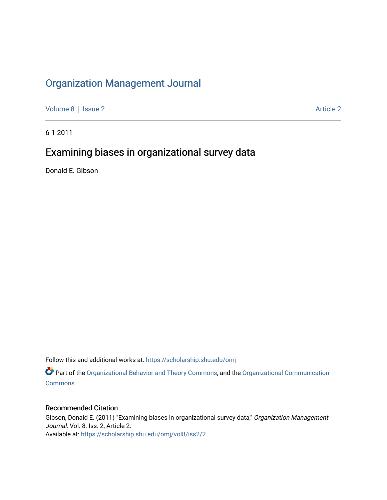## [Organization Management Journal](https://scholarship.shu.edu/omj)

[Volume 8](https://scholarship.shu.edu/omj/vol8) | [Issue 2](https://scholarship.shu.edu/omj/vol8/iss2) Article 2

6-1-2011

## Examining biases in organizational survey data

Donald E. Gibson

Follow this and additional works at: [https://scholarship.shu.edu/omj](https://scholarship.shu.edu/omj?utm_source=scholarship.shu.edu%2Fomj%2Fvol8%2Fiss2%2F2&utm_medium=PDF&utm_campaign=PDFCoverPages) 

Part of the [Organizational Behavior and Theory Commons,](http://network.bepress.com/hgg/discipline/639?utm_source=scholarship.shu.edu%2Fomj%2Fvol8%2Fiss2%2F2&utm_medium=PDF&utm_campaign=PDFCoverPages) and the [Organizational Communication](http://network.bepress.com/hgg/discipline/335?utm_source=scholarship.shu.edu%2Fomj%2Fvol8%2Fiss2%2F2&utm_medium=PDF&utm_campaign=PDFCoverPages) **[Commons](http://network.bepress.com/hgg/discipline/335?utm_source=scholarship.shu.edu%2Fomj%2Fvol8%2Fiss2%2F2&utm_medium=PDF&utm_campaign=PDFCoverPages)** 

#### Recommended Citation

Gibson, Donald E. (2011) "Examining biases in organizational survey data," Organization Management Journal: Vol. 8: Iss. 2, Article 2. Available at: [https://scholarship.shu.edu/omj/vol8/iss2/2](https://scholarship.shu.edu/omj/vol8/iss2/2?utm_source=scholarship.shu.edu%2Fomj%2Fvol8%2Fiss2%2F2&utm_medium=PDF&utm_campaign=PDFCoverPages)